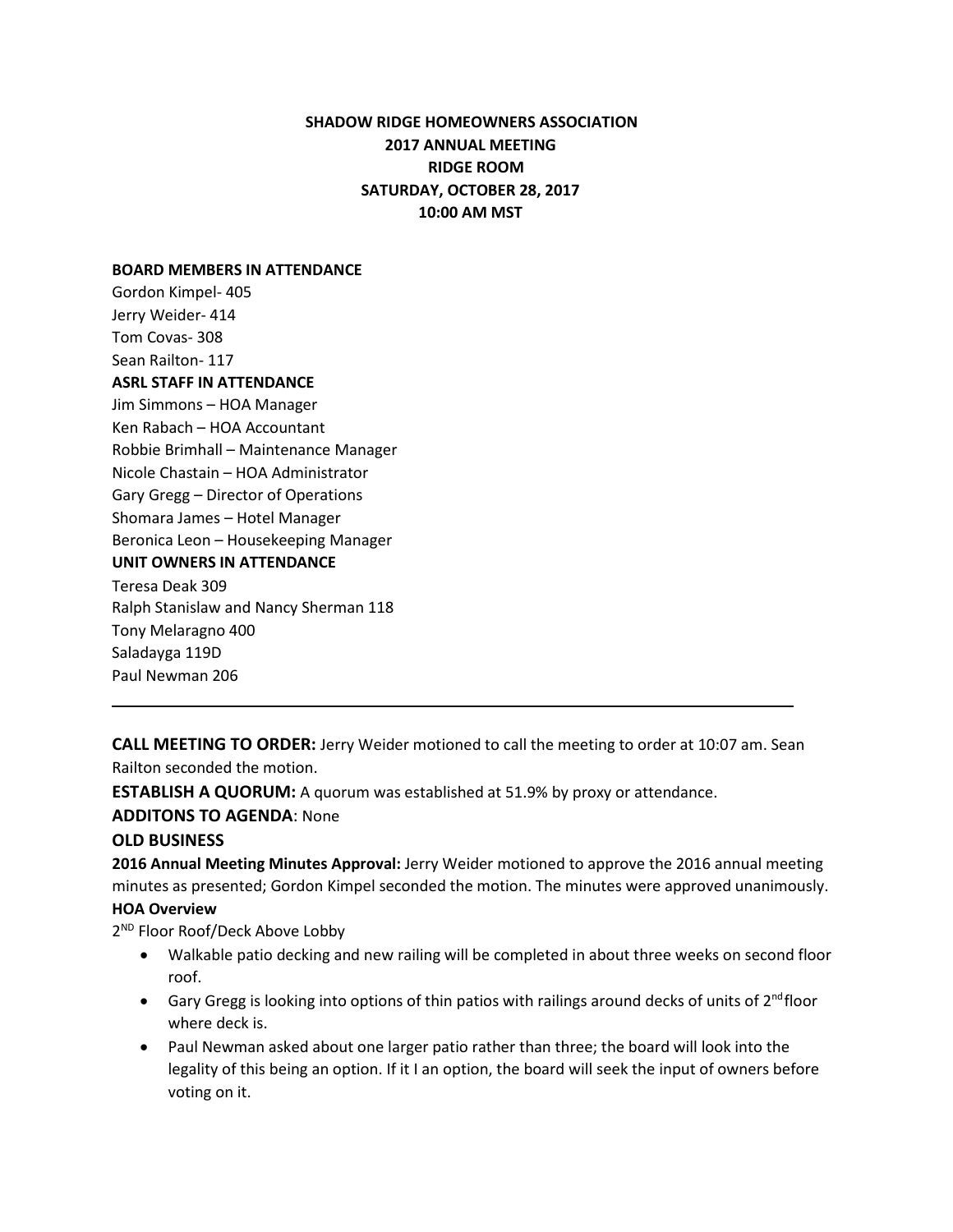# **SHADOW RIDGE HOMEOWNERS ASSOCIATION 2017 ANNUAL MEETING RIDGE ROOM SATURDAY, OCTOBER 28, 2017 10:00 AM MST**

#### **BOARD MEMBERS IN ATTENDANCE**

Gordon Kimpel- 405 Jerry Weider- 414 Tom Covas- 308 Sean Railton- 117 **ASRL STAFF IN ATTENDANCE** Jim Simmons – HOA Manager Ken Rabach – HOA Accountant Robbie Brimhall – Maintenance Manager Nicole Chastain – HOA Administrator Gary Gregg – Director of Operations Shomara James – Hotel Manager Beronica Leon – Housekeeping Manager **UNIT OWNERS IN ATTENDANCE** Teresa Deak 309 Ralph Stanislaw and Nancy Sherman 118 Tony Melaragno 400 Saladayga 119D

**CALL MEETING TO ORDER:** Jerry Weider motioned to call the meeting to order at 10:07 am. Sean Railton seconded the motion.

**ESTABLISH A QUORUM:** A quorum was established at 51.9% by proxy or attendance.

**ADDITONS TO AGENDA**: None

### **OLD BUSINESS**

Paul Newman 206

**2016 Annual Meeting Minutes Approval:** Jerry Weider motioned to approve the 2016 annual meeting minutes as presented; Gordon Kimpel seconded the motion. The minutes were approved unanimously.

#### **HOA Overview**

2<sup>ND</sup> Floor Roof/Deck Above Lobby

- Walkable patio decking and new railing will be completed in about three weeks on second floor roof.
- Gary Gregg is looking into options of thin patios with railings around decks of units of 2<sup>nd</sup>floor where deck is.
- Paul Newman asked about one larger patio rather than three; the board will look into the legality of this being an option. If it I an option, the board will seek the input of owners before voting on it.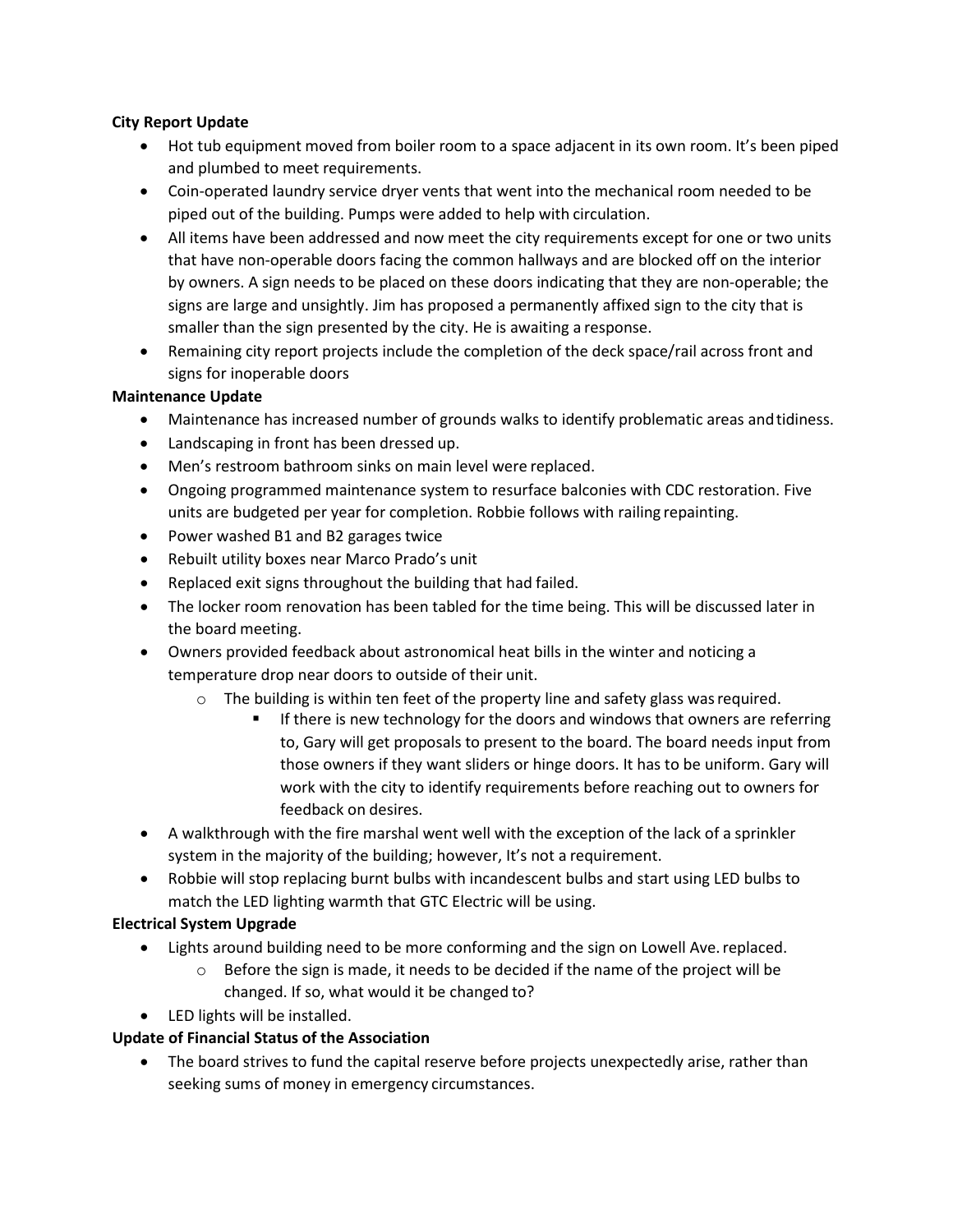## **City Report Update**

- Hot tub equipment moved from boiler room to a space adjacent in its own room. It's been piped and plumbed to meet requirements.
- Coin-operated laundry service dryer vents that went into the mechanical room needed to be piped out of the building. Pumps were added to help with circulation.
- All items have been addressed and now meet the city requirements except for one or two units that have non-operable doors facing the common hallways and are blocked off on the interior by owners. A sign needs to be placed on these doors indicating that they are non-operable; the signs are large and unsightly. Jim has proposed a permanently affixed sign to the city that is smaller than the sign presented by the city. He is awaiting a response.
- Remaining city report projects include the completion of the deck space/rail across front and signs for inoperable doors

## **Maintenance Update**

- Maintenance has increased number of grounds walks to identify problematic areas andtidiness.
- Landscaping in front has been dressed up.
- Men's restroom bathroom sinks on main level were replaced.
- Ongoing programmed maintenance system to resurface balconies with CDC restoration. Five units are budgeted per year for completion. Robbie follows with railing repainting.
- Power washed B1 and B2 garages twice
- Rebuilt utility boxes near Marco Prado's unit
- Replaced exit signs throughout the building that had failed.
- The locker room renovation has been tabled for the time being. This will be discussed later in the board meeting.
- Owners provided feedback about astronomical heat bills in the winter and noticing a temperature drop near doors to outside of their unit.
	- $\circ$  The building is within ten feet of the property line and safety glass was required.
		- If there is new technology for the doors and windows that owners are referring to, Gary will get proposals to present to the board. The board needs input from those owners if they want sliders or hinge doors. It has to be uniform. Gary will work with the city to identify requirements before reaching out to owners for feedback on desires.
- A walkthrough with the fire marshal went well with the exception of the lack of a sprinkler system in the majority of the building; however, It's not a requirement.
- Robbie will stop replacing burnt bulbs with incandescent bulbs and start using LED bulbs to match the LED lighting warmth that GTC Electric will be using.

# **Electrical System Upgrade**

- Lights around building need to be more conforming and the sign on Lowell Ave. replaced.
	- $\circ$  Before the sign is made, it needs to be decided if the name of the project will be changed. If so, what would it be changed to?
- LED lights will be installed.

# **Update of Financial Status of the Association**

• The board strives to fund the capital reserve before projects unexpectedly arise, rather than seeking sums of money in emergency circumstances.